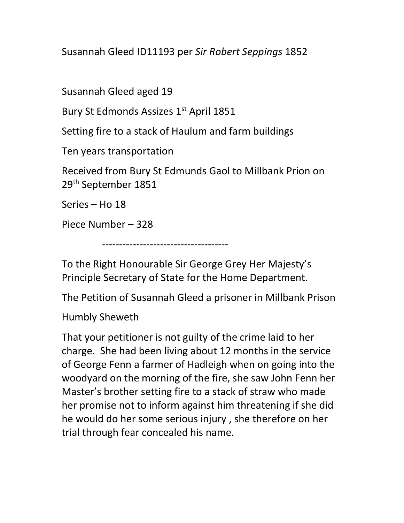Susannah Gleed ID11193 per Sir Robert Seppings 1852

Susannah Gleed aged 19

Bury St Edmonds Assizes 1<sup>st</sup> April 1851

Setting fire to a stack of Haulum and farm buildings

Ten years transportation

Received from Bury St Edmunds Gaol to Millbank Prion on 29th September 1851

Series – Ho 18

Piece Number – 328

-------------------------------------

To the Right Honourable Sir George Grey Her Majesty's Principle Secretary of State for the Home Department.

The Petition of Susannah Gleed a prisoner in Millbank Prison

Humbly Sheweth

That your petitioner is not guilty of the crime laid to her charge. She had been living about 12 months in the service of George Fenn a farmer of Hadleigh when on going into the woodyard on the morning of the fire, she saw John Fenn her Master's brother setting fire to a stack of straw who made her promise not to inform against him threatening if she did he would do her some serious injury , she therefore on her trial through fear concealed his name.